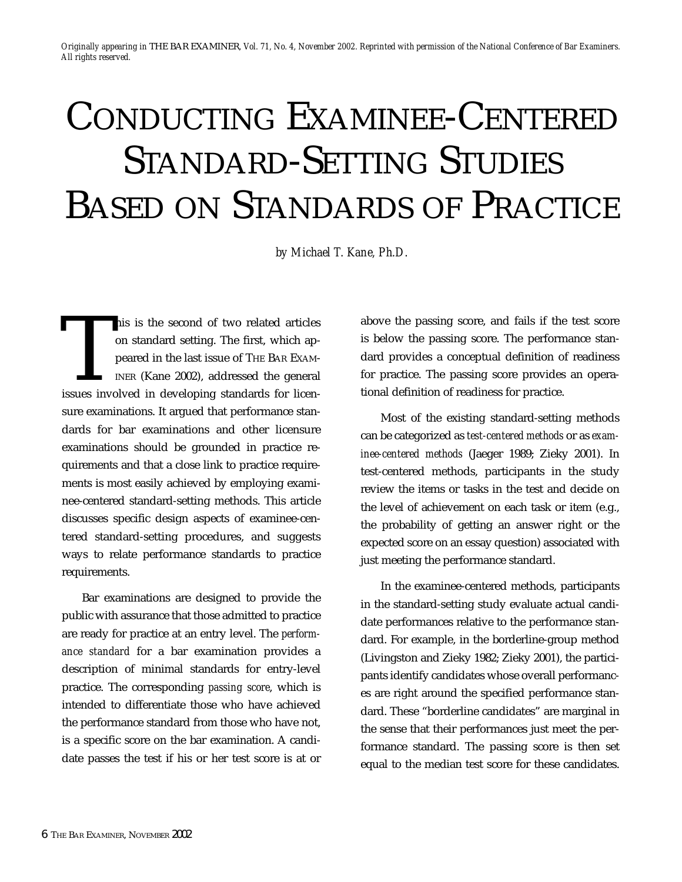*Originally appearing in* THE BAR EXAMINER*, Vol. 71, No. 4, November 2002. Reprinted with permission of the National Conference of Bar Examiners. All rights reserved.*

# CONDUCTING EXAMINEE-CENTERED STANDARD-SETTING STUDIES BASED ON STANDARDS OF PRACTICE

*by Michael T. Kane, Ph.D.*

This is the second of two related articles<br>on standard setting. The first, which ap-<br>peared in the last issue of THE BAR EXAM-<br>INER (Kane 2002), addressed the general<br>issues involved in developing standards for licenon standard setting. The first, which appeared in the last issue of THE BAR EXAM-INER (Kane 2002), addressed the general issues involved in developing standards for licensure examinations. It argued that performance standards for bar examinations and other licensure examinations should be grounded in practice requirements and that a close link to practice requirements is most easily achieved by employing examinee-centered standard-setting methods. This article discusses specific design aspects of examinee-centered standard-setting procedures, and suggests ways to relate performance standards to practice requirements.

Bar examinations are designed to provide the public with assurance that those admitted to practice are ready for practice at an entry level. The *performance standard* for a bar examination provides a description of minimal standards for entry-level practice. The corresponding *passing score*, which is intended to differentiate those who have achieved the performance standard from those who have not, is a specific score on the bar examination. A candidate passes the test if his or her test score is at or above the passing score, and fails if the test score is below the passing score. The performance standard provides a conceptual definition of readiness for practice. The passing score provides an operational definition of readiness for practice.

Most of the existing standard-setting methods can be categorized as *test-centered methods* or as *examinee-centered methods* (Jaeger 1989; Zieky 2001). In test-centered methods, participants in the study review the items or tasks in the test and decide on the level of achievement on each task or item (e.g., the probability of getting an answer right or the expected score on an essay question) associated with just meeting the performance standard.

In the examinee-centered methods, participants in the standard-setting study evaluate actual candidate performances relative to the performance standard. For example, in the borderline-group method (Livingston and Zieky 1982; Zieky 2001), the participants identify candidates whose overall performances are right around the specified performance standard. These "borderline candidates" are marginal in the sense that their performances just meet the performance standard. The passing score is then set equal to the median test score for these candidates.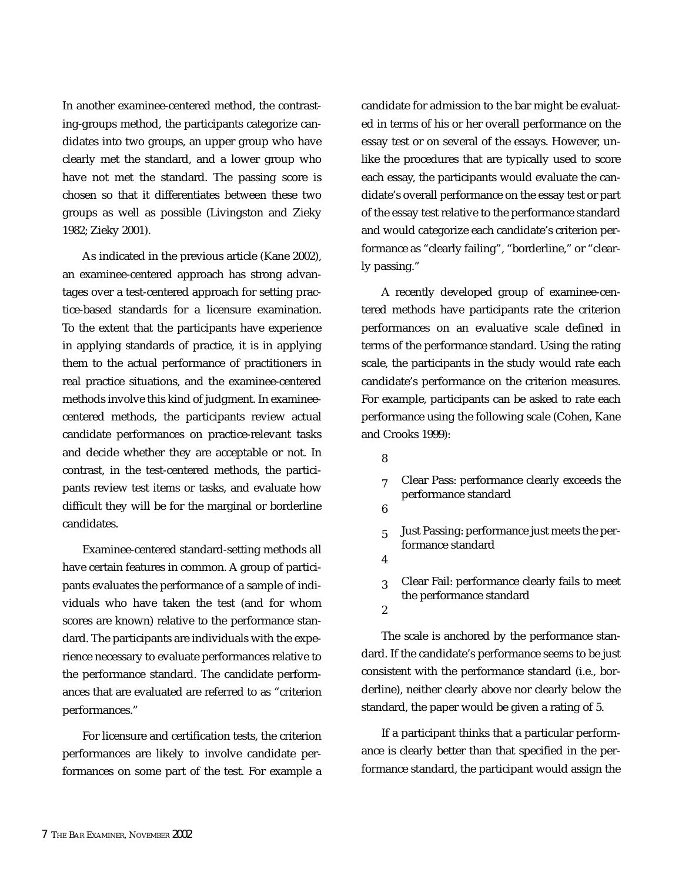In another examinee-centered method, the contrasting-groups method, the participants categorize candidates into two groups, an upper group who have clearly met the standard, and a lower group who have not met the standard. The passing score is chosen so that it differentiates between these two groups as well as possible (Livingston and Zieky 1982; Zieky 2001).

As indicated in the previous article (Kane 2002), an examinee-centered approach has strong advantages over a test-centered approach for setting practice-based standards for a licensure examination. To the extent that the participants have experience in applying standards of practice, it is in applying them to the actual performance of practitioners in real practice situations, and the examinee-centered methods involve this kind of judgment. In examineecentered methods, the participants review actual candidate performances on practice-relevant tasks and decide whether they are acceptable or not. In contrast, in the test-centered methods, the participants review test items or tasks, and evaluate how difficult they will be for the marginal or borderline candidates.

Examinee-centered standard-setting methods all have certain features in common. A group of participants evaluates the performance of a sample of individuals who have taken the test (and for whom scores are known) relative to the performance standard. The participants are individuals with the experience necessary to evaluate performances relative to the performance standard. The candidate performances that are evaluated are referred to as "criterion performances."

For licensure and certification tests, the criterion performances are likely to involve candidate performances on some part of the test. For example a candidate for admission to the bar might be evaluated in terms of his or her overall performance on the essay test or on several of the essays. However, unlike the procedures that are typically used to score each essay, the participants would evaluate the candidate's overall performance on the essay test or part of the essay test relative to the performance standard and would categorize each candidate's criterion performance as "clearly failing", "borderline," or "clearly passing."

A recently developed group of examinee-centered methods have participants rate the criterion performances on an evaluative scale defined in terms of the performance standard. Using the rating scale, the participants in the study would rate each candidate's performance on the criterion measures. For example, participants can be asked to rate each performance using the following scale (Cohen, Kane and Crooks 1999):

- 8
- 7 Clear Pass: performance clearly exceeds the performance standard
- 6
- 5 Just Passing: performance just meets the performance standard
- 4

 $\mathfrak{p}$ 

3 Clear Fail: performance clearly fails to meet the performance standard

The scale is anchored by the performance standard. If the candidate's performance seems to be just consistent with the performance standard (i.e., borderline), neither clearly above nor clearly below the standard, the paper would be given a rating of 5.

If a participant thinks that a particular performance is clearly better than that specified in the performance standard, the participant would assign the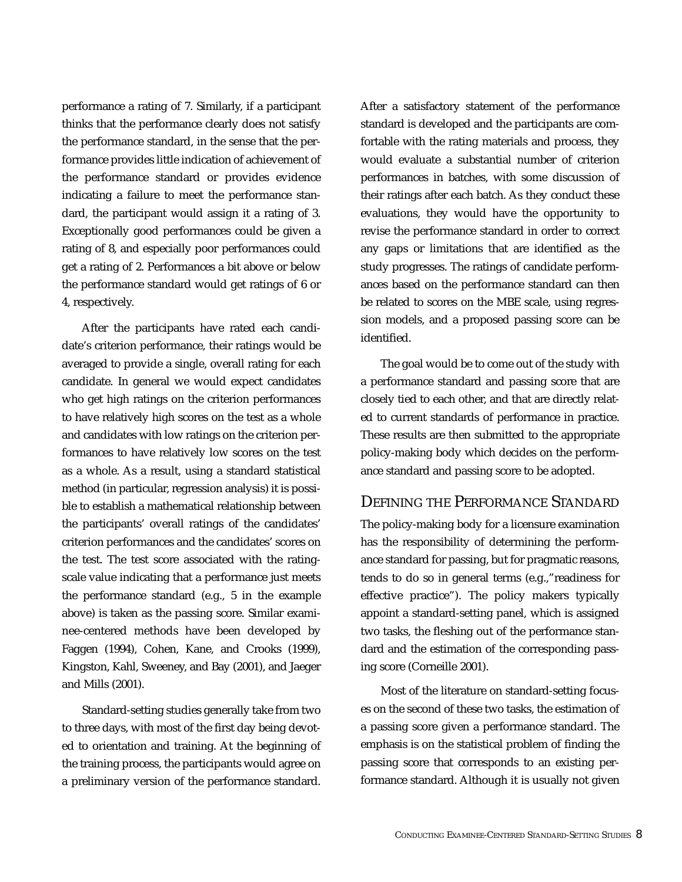performance a rating of 7. Similarly, if a participant thinks that the performance clearly does not satisfy the performance standard, in the sense that the performance provides little indication of achievement of the performance standard or provides evidence indicating a failure to meet the performance standard, the participant would assign it a rating of 3. Exceptionally good performances could be given a rating of 8, and especially poor performances could get a rating of 2. Performances a bit above or below the performance standard would get ratings of 6 or 4, respectively.

After the participants have rated each candidate's criterion performance, their ratings would be averaged to provide a single, overall rating for each candidate. In general we would expect candidates who get high ratings on the criterion performances to have relatively high scores on the test as a whole and candidates with low ratings on the criterion performances to have relatively low scores on the test as a whole. As a result, using a standard statistical method (in particular, regression analysis) it is possible to establish a mathematical relationship between the participants' overall ratings of the candidates' criterion performances and the candidates' scores on the test. The test score associated with the ratingscale value indicating that a performance just meets the performance standard (e.g., 5 in the example above) is taken as the passing score. Similar examinee-centered methods have been developed by Faggen (1994), Cohen, Kane, and Crooks (1999), Kingston, Kahl, Sweeney, and Bay (2001), and Jaeger and Mills (2001).

Standard-setting studies generally take from two to three days, with most of the first day being devoted to orientation and training. At the beginning of the training process, the participants would agree on a preliminary version of the performance standard.

After a satisfactory statement of the performance standard is developed and the participants are comfortable with the rating materials and process, they would evaluate a substantial number of criterion performances in batches, with some discussion of their ratings after each batch. As they conduct these evaluations, they would have the opportunity to revise the performance standard in order to correct any gaps or limitations that are identified as the study progresses. The ratings of candidate performances based on the performance standard can then be related to scores on the MBE scale, using regression models, and a proposed passing score can be identified.

The goal would be to come out of the study with a performance standard and passing score that are closely tied to each other, and that are directly related to current standards of performance in practice. These results are then submitted to the appropriate policy-making body which decides on the performance standard and passing score to be adopted.

#### DEFINING THE PERFORMANCE STANDARD

The policy-making body for a licensure examination has the responsibility of determining the performance standard for passing, but for pragmatic reasons, tends to do so in general terms (e.g.,"readiness for effective practice"). The policy makers typically appoint a standard-setting panel, which is assigned two tasks, the fleshing out of the performance standard and the estimation of the corresponding passing score (Corneille 2001).

Most of the literature on standard-setting focuses on the second of these two tasks, the estimation of a passing score given a performance standard. The emphasis is on the statistical problem of finding the passing score that corresponds to an existing performance standard. Although it is usually not given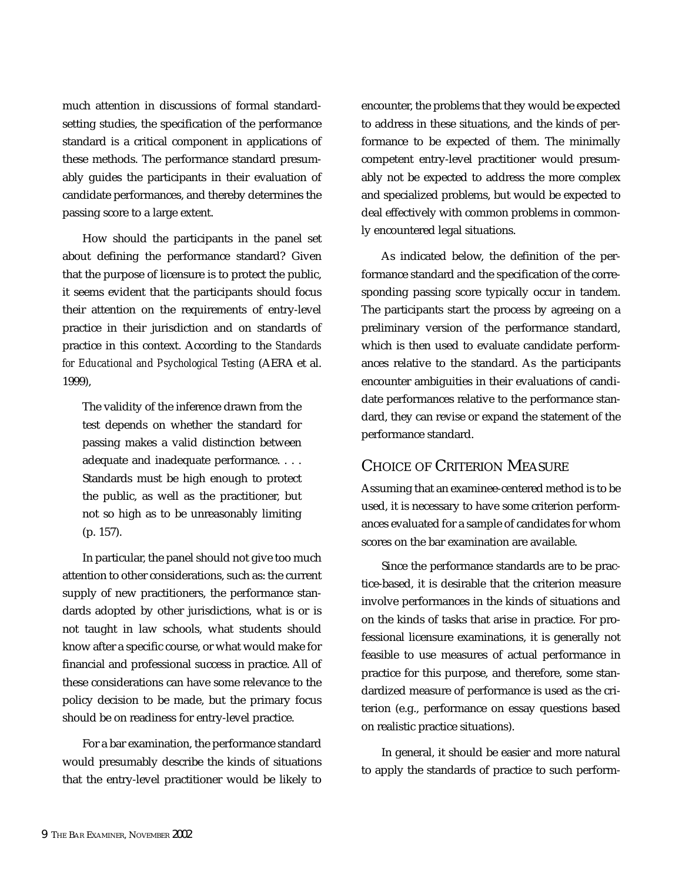much attention in discussions of formal standardsetting studies, the specification of the performance standard is a critical component in applications of these methods. The performance standard presumably guides the participants in their evaluation of candidate performances, and thereby determines the passing score to a large extent.

How should the participants in the panel set about defining the performance standard? Given that the purpose of licensure is to protect the public, it seems evident that the participants should focus their attention on the requirements of entry-level practice in their jurisdiction and on standards of practice in this context. According to the *Standards for Educational and Psychological Testing* (AERA et al. 1999),

The validity of the inference drawn from the test depends on whether the standard for passing makes a valid distinction between adequate and inadequate performance. . . . Standards must be high enough to protect the public, as well as the practitioner, but not so high as to be unreasonably limiting (p. 157).

In particular, the panel should not give too much attention to other considerations, such as: the current supply of new practitioners, the performance standards adopted by other jurisdictions, what is or is not taught in law schools, what students should know after a specific course, or what would make for financial and professional success in practice. All of these considerations can have some relevance to the policy decision to be made, but the primary focus should be on readiness for entry-level practice.

For a bar examination, the performance standard would presumably describe the kinds of situations that the entry-level practitioner would be likely to encounter, the problems that they would be expected to address in these situations, and the kinds of performance to be expected of them. The minimally competent entry-level practitioner would presumably not be expected to address the more complex and specialized problems, but would be expected to deal effectively with common problems in commonly encountered legal situations.

As indicated below, the definition of the performance standard and the specification of the corresponding passing score typically occur in tandem. The participants start the process by agreeing on a preliminary version of the performance standard, which is then used to evaluate candidate performances relative to the standard. As the participants encounter ambiguities in their evaluations of candidate performances relative to the performance standard, they can revise or expand the statement of the performance standard.

# CHOICE OF CRITERION MEASURE

Assuming that an examinee-centered method is to be used, it is necessary to have some criterion performances evaluated for a sample of candidates for whom scores on the bar examination are available.

Since the performance standards are to be practice-based, it is desirable that the criterion measure involve performances in the kinds of situations and on the kinds of tasks that arise in practice. For professional licensure examinations, it is generally not feasible to use measures of actual performance in practice for this purpose, and therefore, some standardized measure of performance is used as the criterion (e.g., performance on essay questions based on realistic practice situations).

In general, it should be easier and more natural to apply the standards of practice to such perform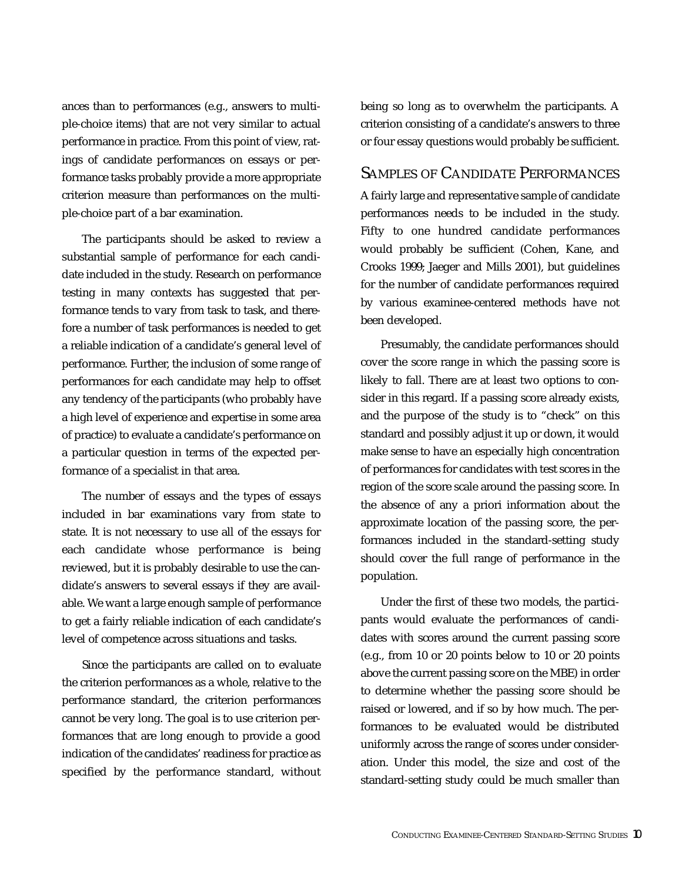ances than to performances (e.g., answers to multiple-choice items) that are not very similar to actual performance in practice. From this point of view, ratings of candidate performances on essays or performance tasks probably provide a more appropriate criterion measure than performances on the multiple-choice part of a bar examination.

The participants should be asked to review a substantial sample of performance for each candidate included in the study. Research on performance testing in many contexts has suggested that performance tends to vary from task to task, and therefore a number of task performances is needed to get a reliable indication of a candidate's general level of performance. Further, the inclusion of some range of performances for each candidate may help to offset any tendency of the participants (who probably have a high level of experience and expertise in some area of practice) to evaluate a candidate's performance on a particular question in terms of the expected performance of a specialist in that area.

The number of essays and the types of essays included in bar examinations vary from state to state. It is not necessary to use all of the essays for each candidate whose performance is being reviewed, but it is probably desirable to use the candidate's answers to several essays if they are available. We want a large enough sample of performance to get a fairly reliable indication of each candidate's level of competence across situations and tasks.

Since the participants are called on to evaluate the criterion performances as a whole, relative to the performance standard, the criterion performances cannot be very long. The goal is to use criterion performances that are long enough to provide a good indication of the candidates' readiness for practice as specified by the performance standard, without being so long as to overwhelm the participants. A criterion consisting of a candidate's answers to three or four essay questions would probably be sufficient.

## SAMPLES OF CANDIDATE PERFORMANCES

A fairly large and representative sample of candidate performances needs to be included in the study. Fifty to one hundred candidate performances would probably be sufficient (Cohen, Kane, and Crooks 1999; Jaeger and Mills 2001), but guidelines for the number of candidate performances required by various examinee-centered methods have not been developed.

Presumably, the candidate performances should cover the score range in which the passing score is likely to fall. There are at least two options to consider in this regard. If a passing score already exists, and the purpose of the study is to "check" on this standard and possibly adjust it up or down, it would make sense to have an especially high concentration of performances for candidates with test scores in the region of the score scale around the passing score. In the absence of any a priori information about the approximate location of the passing score, the performances included in the standard-setting study should cover the full range of performance in the population.

Under the first of these two models, the participants would evaluate the performances of candidates with scores around the current passing score (e.g., from 10 or 20 points below to 10 or 20 points above the current passing score on the MBE) in order to determine whether the passing score should be raised or lowered, and if so by how much. The performances to be evaluated would be distributed uniformly across the range of scores under consideration. Under this model, the size and cost of the standard-setting study could be much smaller than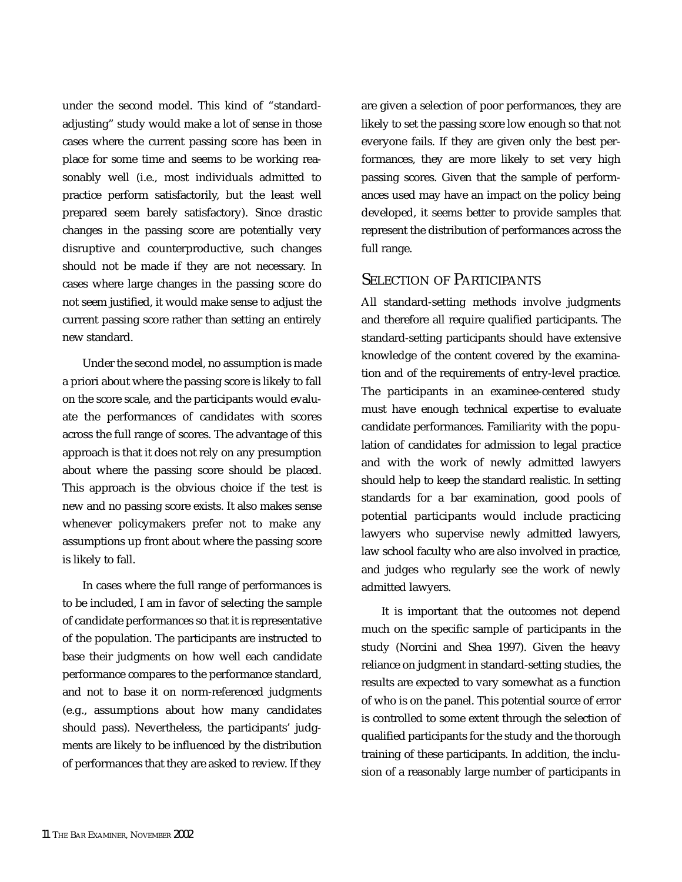under the second model. This kind of "standardadjusting" study would make a lot of sense in those cases where the current passing score has been in place for some time and seems to be working reasonably well (i.e., most individuals admitted to practice perform satisfactorily, but the least well prepared seem barely satisfactory). Since drastic changes in the passing score are potentially very disruptive and counterproductive, such changes should not be made if they are not necessary. In cases where large changes in the passing score do not seem justified, it would make sense to adjust the current passing score rather than setting an entirely new standard.

Under the second model, no assumption is made a priori about where the passing score is likely to fall on the score scale, and the participants would evaluate the performances of candidates with scores across the full range of scores. The advantage of this approach is that it does not rely on any presumption about where the passing score should be placed. This approach is the obvious choice if the test is new and no passing score exists. It also makes sense whenever policymakers prefer not to make any assumptions up front about where the passing score is likely to fall.

In cases where the full range of performances is to be included, I am in favor of selecting the sample of candidate performances so that it is representative of the population. The participants are instructed to base their judgments on how well each candidate performance compares to the performance standard, and not to base it on norm-referenced judgments (e.g., assumptions about how many candidates should pass). Nevertheless, the participants' judgments are likely to be influenced by the distribution of performances that they are asked to review. If they are given a selection of poor performances, they are likely to set the passing score low enough so that not everyone fails. If they are given only the best performances, they are more likely to set very high passing scores. Given that the sample of performances used may have an impact on the policy being developed, it seems better to provide samples that represent the distribution of performances across the full range.

#### SELECTION OF PARTICIPANTS

All standard-setting methods involve judgments and therefore all require qualified participants. The standard-setting participants should have extensive knowledge of the content covered by the examination and of the requirements of entry-level practice. The participants in an examinee-centered study must have enough technical expertise to evaluate candidate performances. Familiarity with the population of candidates for admission to legal practice and with the work of newly admitted lawyers should help to keep the standard realistic. In setting standards for a bar examination, good pools of potential participants would include practicing lawyers who supervise newly admitted lawyers, law school faculty who are also involved in practice, and judges who regularly see the work of newly admitted lawyers.

It is important that the outcomes not depend much on the specific sample of participants in the study (Norcini and Shea 1997). Given the heavy reliance on judgment in standard-setting studies, the results are expected to vary somewhat as a function of who is on the panel. This potential source of error is controlled to some extent through the selection of qualified participants for the study and the thorough training of these participants. In addition, the inclusion of a reasonably large number of participants in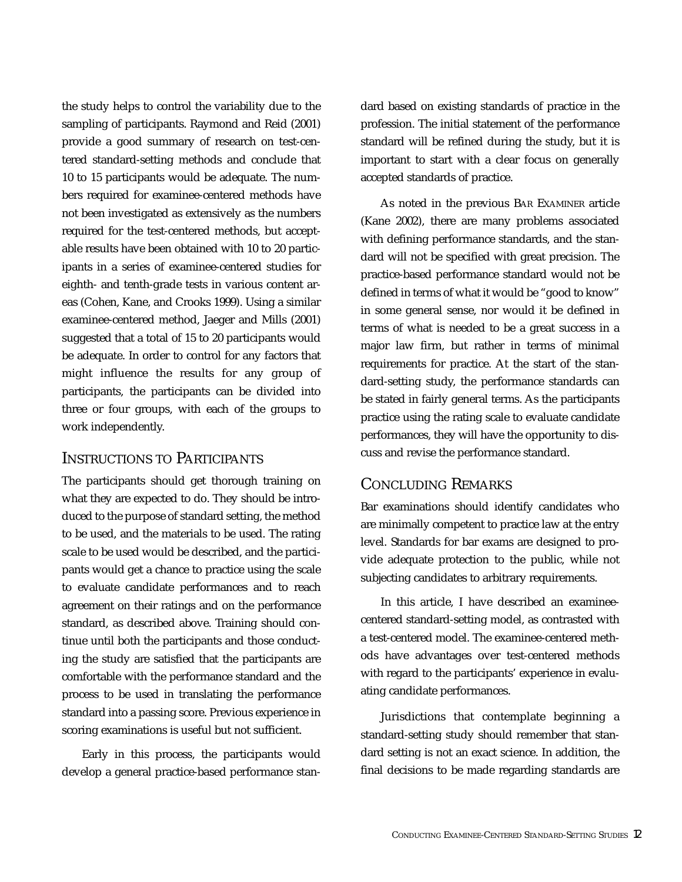the study helps to control the variability due to the sampling of participants. Raymond and Reid (2001) provide a good summary of research on test-centered standard-setting methods and conclude that 10 to 15 participants would be adequate. The numbers required for examinee-centered methods have not been investigated as extensively as the numbers required for the test-centered methods, but acceptable results have been obtained with 10 to 20 participants in a series of examinee-centered studies for eighth- and tenth-grade tests in various content areas (Cohen, Kane, and Crooks 1999). Using a similar examinee-centered method, Jaeger and Mills (2001) suggested that a total of 15 to 20 participants would be adequate. In order to control for any factors that might influence the results for any group of participants, the participants can be divided into three or four groups, with each of the groups to work independently.

## INSTRUCTIONS TO PARTICIPANTS

The participants should get thorough training on what they are expected to do. They should be introduced to the purpose of standard setting, the method to be used, and the materials to be used. The rating scale to be used would be described, and the participants would get a chance to practice using the scale to evaluate candidate performances and to reach agreement on their ratings and on the performance standard, as described above. Training should continue until both the participants and those conducting the study are satisfied that the participants are comfortable with the performance standard and the process to be used in translating the performance standard into a passing score. Previous experience in scoring examinations is useful but not sufficient.

Early in this process, the participants would develop a general practice-based performance stan-

dard based on existing standards of practice in the profession. The initial statement of the performance standard will be refined during the study, but it is important to start with a clear focus on generally accepted standards of practice.

As noted in the previous BAR EXAMINER article (Kane 2002), there are many problems associated with defining performance standards, and the standard will not be specified with great precision. The practice-based performance standard would not be defined in terms of what it would be "good to know" in some general sense, nor would it be defined in terms of what is needed to be a great success in a major law firm, but rather in terms of minimal requirements for practice. At the start of the standard-setting study, the performance standards can be stated in fairly general terms. As the participants practice using the rating scale to evaluate candidate performances, they will have the opportunity to discuss and revise the performance standard.

## CONCLUDING REMARKS

Bar examinations should identify candidates who are minimally competent to practice law at the entry level. Standards for bar exams are designed to provide adequate protection to the public, while not subjecting candidates to arbitrary requirements.

In this article, I have described an examineecentered standard-setting model, as contrasted with a test-centered model. The examinee-centered methods have advantages over test-centered methods with regard to the participants' experience in evaluating candidate performances.

Jurisdictions that contemplate beginning a standard-setting study should remember that standard setting is not an exact science. In addition, the final decisions to be made regarding standards are